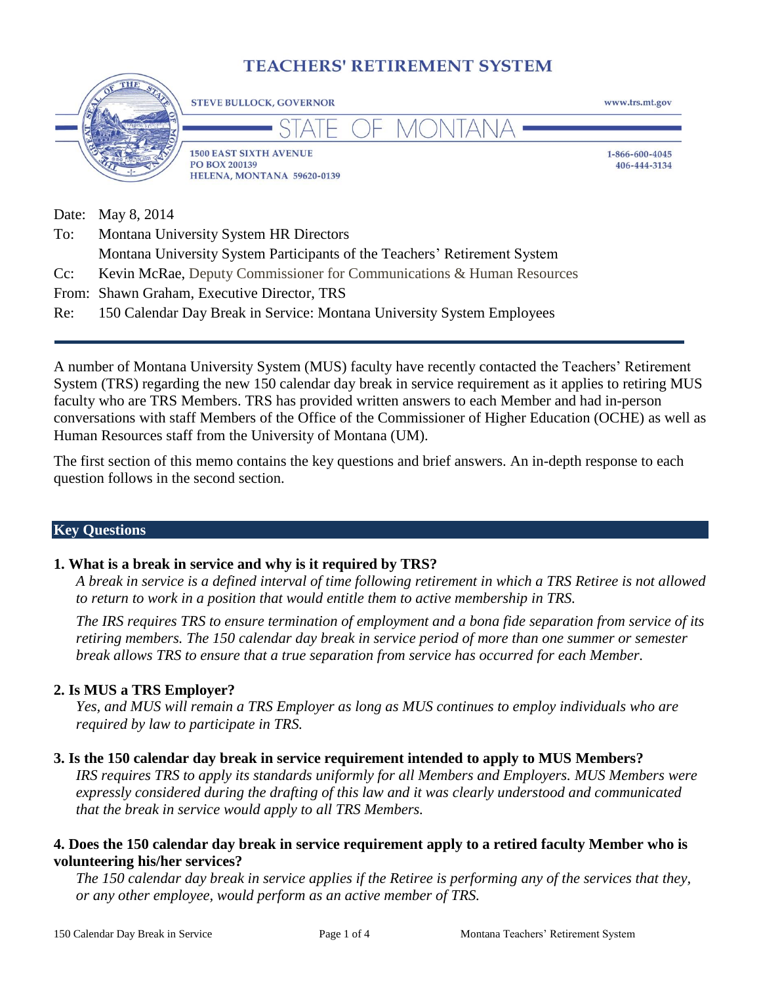# **TEACHERS' RETIREMENT SYSTEM**



Date: May 8, 2014

| To: | Montana University System HR Directors                                     |
|-----|----------------------------------------------------------------------------|
|     | Montana University System Participants of the Teachers' Retirement System  |
|     | Cc: Kevin McRae, Deputy Commissioner for Communications & Human Resources  |
|     | From: Shawn Graham, Executive Director, TRS                                |
|     | Re: 150 Calendar Day Break in Service: Montana University System Employees |

A number of Montana University System (MUS) faculty have recently contacted the Teachers' Retirement System (TRS) regarding the new 150 calendar day break in service requirement as it applies to retiring MUS faculty who are TRS Members. TRS has provided written answers to each Member and had in-person conversations with staff Members of the Office of the Commissioner of Higher Education (OCHE) as well as Human Resources staff from the University of Montana (UM).

The first section of this memo contains the key questions and brief answers. An in-depth response to each question follows in the second section.

#### **Key Questions**

### **1. What is a break in service and why is it required by TRS?**

*A break in service is a defined interval of time following retirement in which a TRS Retiree is not allowed to return to work in a position that would entitle them to active membership in TRS.*

*The IRS requires TRS to ensure termination of employment and a bona fide separation from service of its retiring members. The 150 calendar day break in service period of more than one summer or semester break allows TRS to ensure that a true separation from service has occurred for each Member.*

#### **2. Is MUS a TRS Employer?**

*Yes, and MUS will remain a TRS Employer as long as MUS continues to employ individuals who are required by law to participate in TRS.*

#### **3. Is the 150 calendar day break in service requirement intended to apply to MUS Members?**

*IRS requires TRS to apply its standards uniformly for all Members and Employers. MUS Members were expressly considered during the drafting of this law and it was clearly understood and communicated that the break in service would apply to all TRS Members.*

#### **4. Does the 150 calendar day break in service requirement apply to a retired faculty Member who is volunteering his/her services?**

*The 150 calendar day break in service applies if the Retiree is performing any of the services that they, or any other employee, would perform as an active member of TRS.*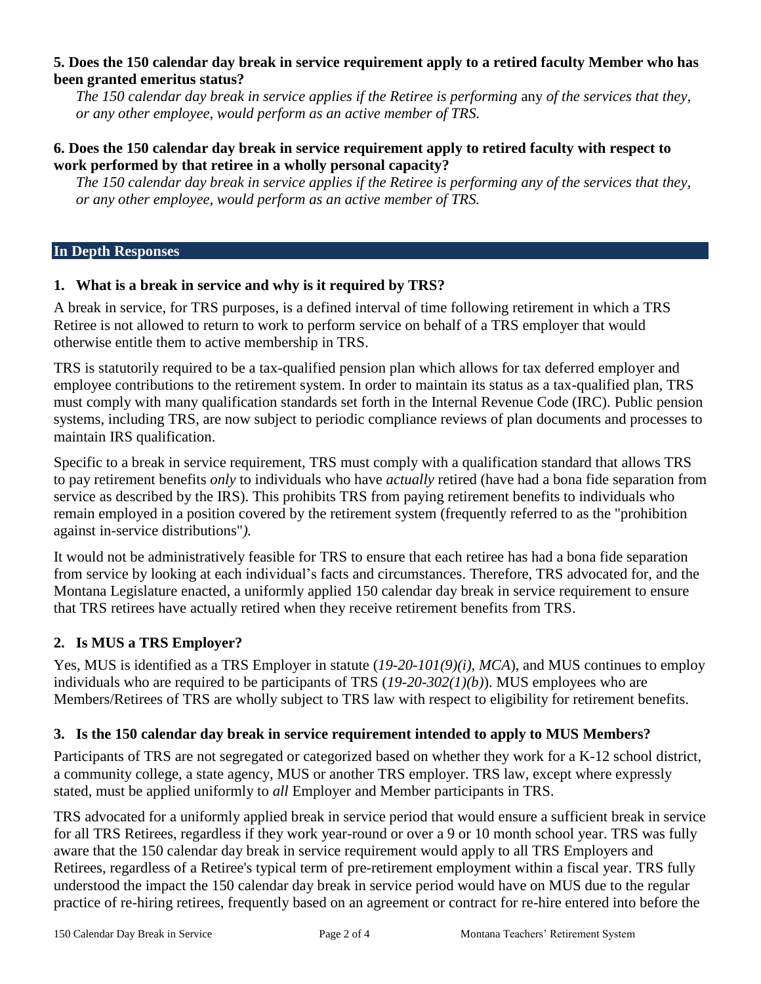#### **5. Does the 150 calendar day break in service requirement apply to a retired faculty Member who has been granted emeritus status?**

*The 150 calendar day break in service applies if the Retiree is performing* any *of the services that they, or any other employee, would perform as an active member of TRS.*

#### **6. Does the 150 calendar day break in service requirement apply to retired faculty with respect to work performed by that retiree in a wholly personal capacity?**

*The 150 calendar day break in service applies if the Retiree is performing any of the services that they, or any other employee, would perform as an active member of TRS.*

#### **In Depth Responses**

### **1. What is a break in service and why is it required by TRS?**

A break in service, for TRS purposes, is a defined interval of time following retirement in which a TRS Retiree is not allowed to return to work to perform service on behalf of a TRS employer that would otherwise entitle them to active membership in TRS.

TRS is statutorily required to be a tax-qualified pension plan which allows for tax deferred employer and employee contributions to the retirement system. In order to maintain its status as a tax-qualified plan, TRS must comply with many qualification standards set forth in the Internal Revenue Code (IRC). Public pension systems, including TRS, are now subject to periodic compliance reviews of plan documents and processes to maintain IRS qualification.

Specific to a break in service requirement, TRS must comply with a qualification standard that allows TRS to pay retirement benefits *only* to individuals who have *actually* retired (have had a bona fide separation from service as described by the IRS). This prohibits TRS from paying retirement benefits to individuals who remain employed in a position covered by the retirement system (frequently referred to as the "prohibition against in-service distributions"*).*

It would not be administratively feasible for TRS to ensure that each retiree has had a bona fide separation from service by looking at each individual's facts and circumstances. Therefore, TRS advocated for, and the Montana Legislature enacted, a uniformly applied 150 calendar day break in service requirement to ensure that TRS retirees have actually retired when they receive retirement benefits from TRS.

### **2. Is MUS a TRS Employer?**

Yes, MUS is identified as a TRS Employer in statute (*19-20-101(9)(i), MCA*), and MUS continues to employ individuals who are required to be participants of TRS (*19-20-302(1)(b)*). MUS employees who are Members/Retirees of TRS are wholly subject to TRS law with respect to eligibility for retirement benefits.

### **3. Is the 150 calendar day break in service requirement intended to apply to MUS Members?**

Participants of TRS are not segregated or categorized based on whether they work for a K-12 school district, a community college, a state agency, MUS or another TRS employer. TRS law, except where expressly stated, must be applied uniformly to *all* Employer and Member participants in TRS.

TRS advocated for a uniformly applied break in service period that would ensure a sufficient break in service for all TRS Retirees, regardless if they work year-round or over a 9 or 10 month school year. TRS was fully aware that the 150 calendar day break in service requirement would apply to all TRS Employers and Retirees, regardless of a Retiree's typical term of pre-retirement employment within a fiscal year. TRS fully understood the impact the 150 calendar day break in service period would have on MUS due to the regular practice of re-hiring retirees, frequently based on an agreement or contract for re-hire entered into before the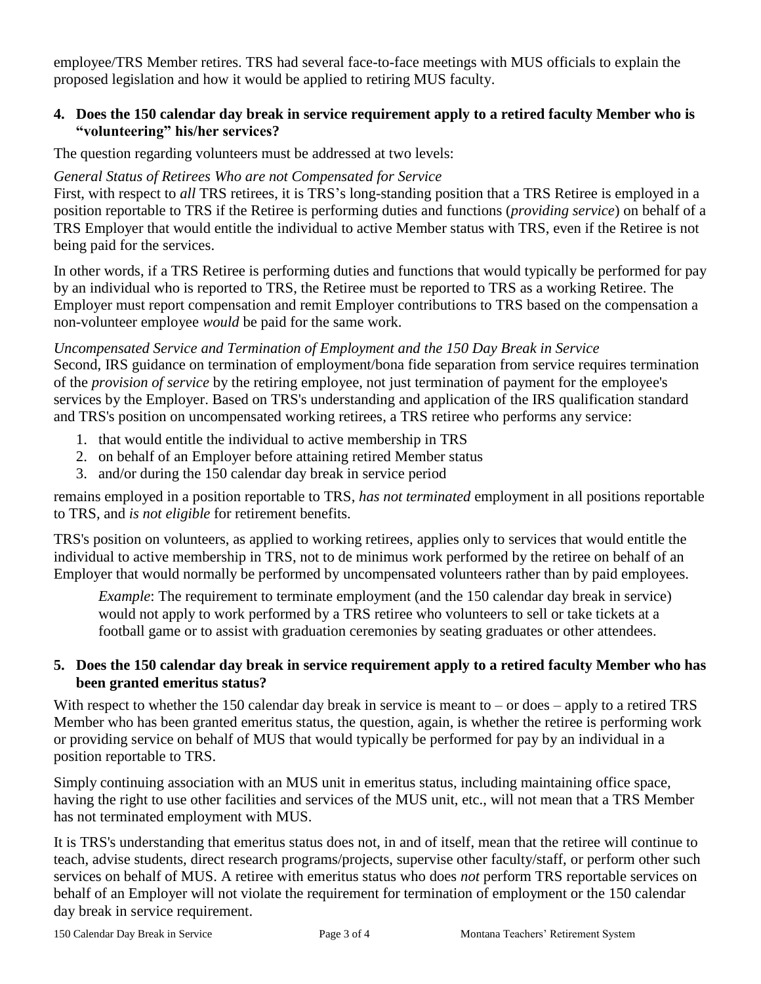employee/TRS Member retires. TRS had several face-to-face meetings with MUS officials to explain the proposed legislation and how it would be applied to retiring MUS faculty.

### **4. Does the 150 calendar day break in service requirement apply to a retired faculty Member who is "volunteering" his/her services?**

The question regarding volunteers must be addressed at two levels:

## *General Status of Retirees Who are not Compensated for Service*

First, with respect to *all* TRS retirees, it is TRS's long-standing position that a TRS Retiree is employed in a position reportable to TRS if the Retiree is performing duties and functions (*providing service*) on behalf of a TRS Employer that would entitle the individual to active Member status with TRS, even if the Retiree is not being paid for the services.

In other words, if a TRS Retiree is performing duties and functions that would typically be performed for pay by an individual who is reported to TRS, the Retiree must be reported to TRS as a working Retiree. The Employer must report compensation and remit Employer contributions to TRS based on the compensation a non-volunteer employee *would* be paid for the same work.

### *Uncompensated Service and Termination of Employment and the 150 Day Break in Service*

Second, IRS guidance on termination of employment/bona fide separation from service requires termination of the *provision of service* by the retiring employee, not just termination of payment for the employee's services by the Employer. Based on TRS's understanding and application of the IRS qualification standard and TRS's position on uncompensated working retirees, a TRS retiree who performs any service:

- 1. that would entitle the individual to active membership in TRS
- 2. on behalf of an Employer before attaining retired Member status
- 3. and/or during the 150 calendar day break in service period

remains employed in a position reportable to TRS, *has not terminated* employment in all positions reportable to TRS, and *is not eligible* for retirement benefits.

TRS's position on volunteers, as applied to working retirees, applies only to services that would entitle the individual to active membership in TRS, not to de minimus work performed by the retiree on behalf of an Employer that would normally be performed by uncompensated volunteers rather than by paid employees.

*Example*: The requirement to terminate employment (and the 150 calendar day break in service) would not apply to work performed by a TRS retiree who volunteers to sell or take tickets at a football game or to assist with graduation ceremonies by seating graduates or other attendees.

## **5. Does the 150 calendar day break in service requirement apply to a retired faculty Member who has been granted emeritus status?**

With respect to whether the 150 calendar day break in service is meant to  $-$  or does  $-$  apply to a retired TRS Member who has been granted emeritus status, the question, again, is whether the retiree is performing work or providing service on behalf of MUS that would typically be performed for pay by an individual in a position reportable to TRS.

Simply continuing association with an MUS unit in emeritus status, including maintaining office space, having the right to use other facilities and services of the MUS unit, etc., will not mean that a TRS Member has not terminated employment with MUS.

It is TRS's understanding that emeritus status does not, in and of itself, mean that the retiree will continue to teach, advise students, direct research programs/projects, supervise other faculty/staff, or perform other such services on behalf of MUS. A retiree with emeritus status who does *not* perform TRS reportable services on behalf of an Employer will not violate the requirement for termination of employment or the 150 calendar day break in service requirement.